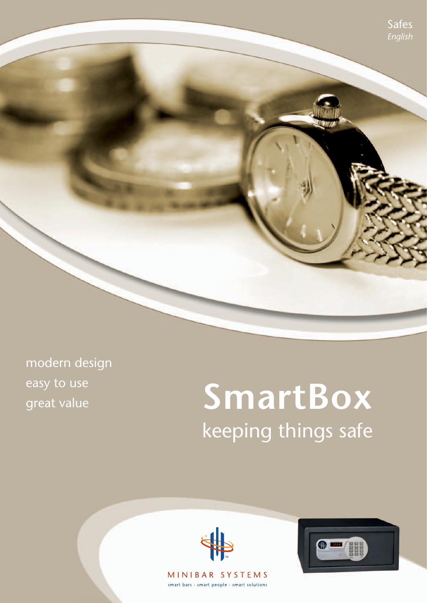

modern design easy to use great value

# **SmartBox** keeping things safe



MINIBAR SYSTEMS smart bars · smart people · smart solutions